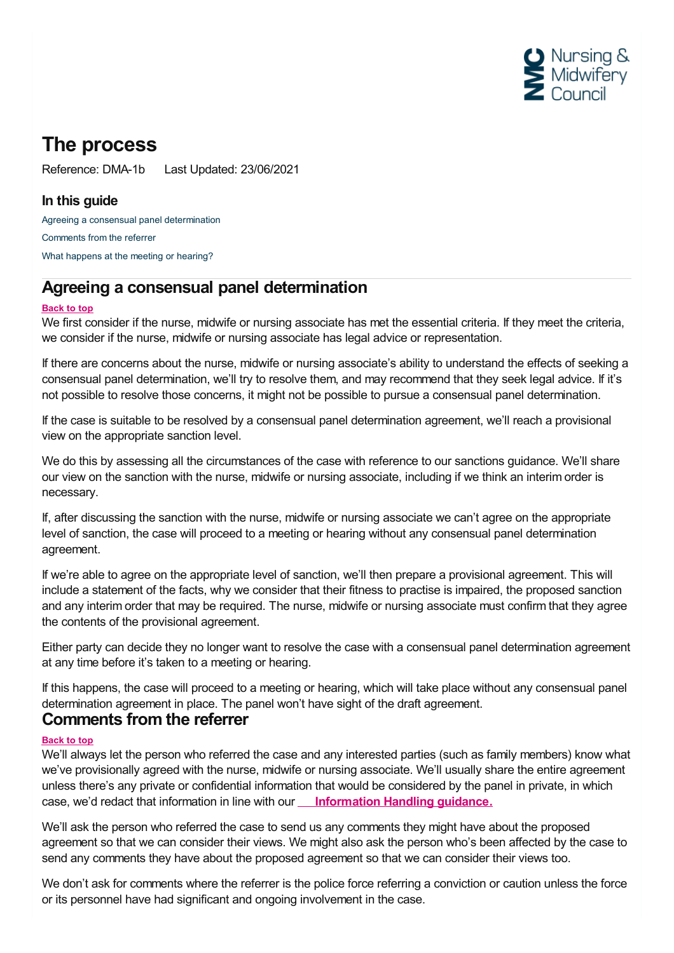

# **The process**

Reference: DMA-1b Last Updated: 23/06/2021

### **In this guide**

Agreeing a consensual panel [determination](#page-0-0) [Comments](#page-0-1) from the referrer What [happens](#page-1-0) at the meeting or hearing?

## <span id="page-0-0"></span>**Agreeing a consensual panel determination**

### **Back to top**

We first consider if the nurse, midwife or nursing associate has met the essential criteria. If they meet the criteria, we consider if the nurse, midwife or nursing associate has legal advice or representation.

If there are concerns about the nurse, midwife or nursing associate's ability to understand the effects of seeking a consensual panel determination, we'll try to resolve them, and may recommend that they seek legal advice. If it's not possible to resolve those concerns, it might not be possible to pursue a consensual panel determination.

If the case is suitable to be resolved by a consensual panel determination agreement, we'll reach a provisional view on the appropriate sanction level.

We do this by assessing all the circumstances of the case with reference to our sanctions guidance. We'll share our view on the sanction with the nurse, midwife or nursing associate, including if we think an interim order is necessary.

If, after discussing the sanction with the nurse, midwife or nursing associate we can't agree on the appropriate level of sanction, the case will proceed to a meeting or hearing without any consensual panel determination agreement.

If we're able to agree on the appropriate level of sanction, we'll then prepare a provisional agreement. This will include a statement of the facts, why we consider that their fitness to practise is impaired, the proposed sanction and any interim order that may be required. The nurse, midwife or nursing associate must confirm that they agree the contents of the provisional agreement.

Either party can decide they no longer want to resolve the case with a consensual panel determination agreement at any time before it's taken to a meeting or hearing.

If this happens, the case will proceed to a meeting or hearing, which will take place without any consensual panel determination agreement in place. The panel won't have sight of the draft agreement.

### <span id="page-0-1"></span>**Comments from the referrer**

### **Back to top**

We'll always let the person who referred the case and any interested parties (such as family members) know what we've provisionally agreed with the nurse, midwife or nursing associate. We'll usually share the entire agreement unless there's any private or confidential information that would be considered by the panel in private, in which case, we'd redact that information in line with our **[Information](https://www.nmc.org.uk/globalassets/sitedocuments/ftp_information/ftp-information-handling-guidance.pdf) Handling guidance.**

We'll ask the person who referred the case to send us any comments they might have about the proposed agreement so that we can consider their views. We might also ask the person who's been affected by the case to send any comments they have about the proposed agreement so that we can consider their views too.

We don't ask for comments where the referrer is the police force referring a conviction or caution unless the force or its personnel have had significant and ongoing involvement in the case.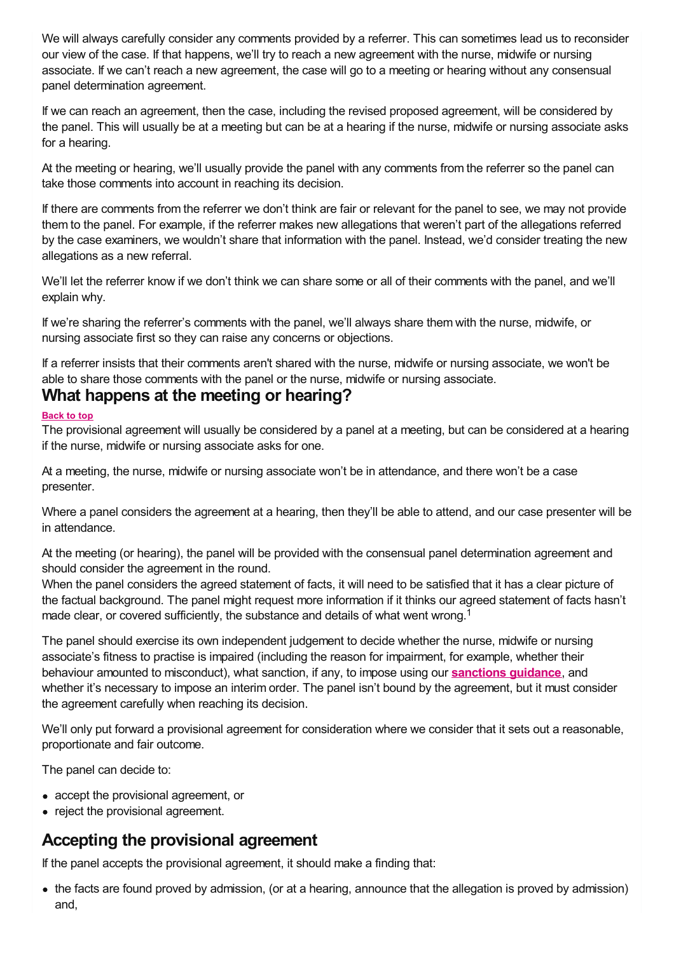We will always carefully consider any comments provided by a referrer. This can sometimes lead us to reconsider our view of the case. If that happens, we'll try to reach a new agreement with the nurse, midwife or nursing associate. If we can't reach a new agreement, the case will go to a meeting or hearing without any consensual panel determination agreement.

If we can reach an agreement, then the case, including the revised proposed agreement, will be considered by the panel. This will usually be at a meeting but can be at a hearing if the nurse, midwife or nursing associate asks for a hearing.

At the meeting or hearing, we'll usually provide the panel with any comments from the referrer so the panel can take those comments into account in reaching its decision.

If there are comments from the referrer we don't think are fair or relevant for the panel to see, we may not provide them to the panel. For example, if the referrer makes new allegations that weren't part of the allegations referred by the case examiners, we wouldn't share that information with the panel. Instead, we'd consider treating the new allegations as a new referral.

We'll let the referrer know if we don't think we can share some or all of their comments with the panel, and we'll explain why.

If we're sharing the referrer's comments with the panel, we'll always share them with the nurse, midwife, or nursing associate first so they can raise any concerns or objections.

If a referrer insists that their comments aren't shared with the nurse, midwife or nursing associate, we won't be able to share those comments with the panel or the nurse, midwife or nursing associate. **What happens at the meeting or hearing?**

### <span id="page-1-0"></span>**Back to top**

The provisional agreement will usually be considered by a panel at a meeting, but can be considered at a hearing if the nurse, midwife or nursing associate asks for one.

At a meeting, the nurse, midwife or nursing associate won't be in attendance, and there won't be a case presenter.

Where a panel considers the agreement at a hearing, then they'll be able to attend, and our case presenter will be in attendance.

At the meeting (or hearing), the panel will be provided with the consensual panel determination agreement and should consider the agreement in the round.

When the panel considers the agreed statement of facts, it will need to be satisfied that it has a clear picture of the factual background. The panel might request more information if it thinks our agreed statement of facts hasn't made clear, or covered sufficiently, the substance and details of what went wrong.<sup>1</sup>

The panel should exercise its own independent judgement to decide whether the nurse, midwife or nursing associate's fitness to practise is impaired (including the reason for impairment, for example, whether their behaviour amounted to misconduct), what sanction, if any, to impose using our **[sanctions](https://www.nmc.org.uk/ftp-library/sanctions/decision-making-factors/) guidance**, and whether it's necessary to impose an interim order. The panel isn't bound by the agreement, but it must consider the agreement carefully when reaching its decision.

We'll only put forward a provisional agreement for consideration where we consider that it sets out a reasonable, proportionate and fair outcome.

The panel can decide to:

- accept the provisional agreement, or
- reject the provisional agreement.

## **Accepting the provisional agreement**

If the panel accepts the provisional agreement, it should make a finding that:

the facts are found proved by admission, (or at a hearing, announce that the allegation is proved by admission) and,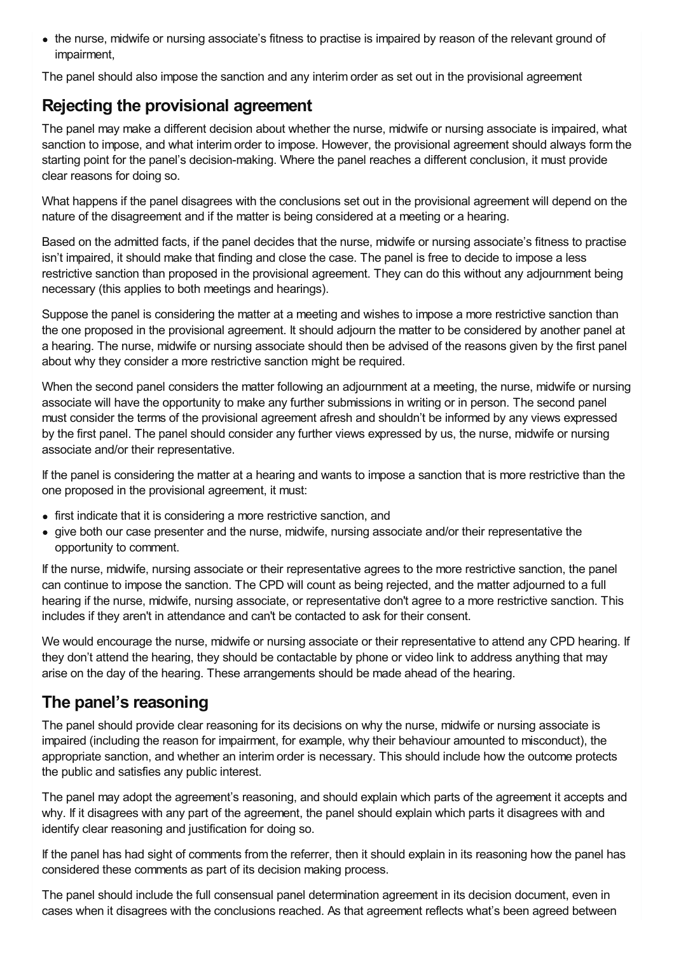the nurse, midwife or nursing associate's fitness to practise is impaired by reason of the relevant ground of impairment,

The panel should also impose the sanction and any interim order as set out in the provisional agreement

## **Rejecting the provisional agreement**

The panel may make a different decision about whether the nurse, midwife or nursing associate is impaired, what sanction to impose, and what interim order to impose. However, the provisional agreement should always form the starting point for the panel's decision-making. Where the panel reaches a different conclusion, it must provide clear reasons for doing so.

What happens if the panel disagrees with the conclusions set out in the provisional agreement will depend on the nature of the disagreement and if the matter is being considered at a meeting or a hearing.

Based on the admitted facts, if the panel decides that the nurse, midwife or nursing associate's fitness to practise isn't impaired, it should make that finding and close the case. The panel is free to decide to impose a less restrictive sanction than proposed in the provisional agreement. They can do this without any adjournment being necessary (this applies to both meetings and hearings).

Suppose the panel is considering the matter at a meeting and wishes to impose a more restrictive sanction than the one proposed in the provisional agreement. It should adjourn the matter to be considered by another panel at a hearing. The nurse, midwife or nursing associate should then be advised of the reasons given by the first panel about why they consider a more restrictive sanction might be required.

When the second panel considers the matter following an adjournment at a meeting, the nurse, midwife or nursing associate will have the opportunity to make any further submissions in writing or in person. The second panel must consider the terms of the provisional agreement afresh and shouldn't be informed by any views expressed by the first panel. The panel should consider any further views expressed by us, the nurse, midwife or nursing associate and/or their representative.

If the panel is considering the matter at a hearing and wants to impose a sanction that is more restrictive than the one proposed in the provisional agreement, it must:

- first indicate that it is considering a more restrictive sanction, and
- give both our case presenter and the nurse, midwife, nursing associate and/or their representative the opportunity to comment.

If the nurse, midwife, nursing associate or their representative agrees to the more restrictive sanction, the panel can continue to impose the sanction. The CPD will count as being rejected, and the matter adjourned to a full hearing if the nurse, midwife, nursing associate, or representative don't agree to a more restrictive sanction. This includes if they aren't in attendance and can't be contacted to ask for their consent.

We would encourage the nurse, midwife or nursing associate or their representative to attend any CPD hearing. If they don't attend the hearing, they should be contactable by phone or video link to address anything that may arise on the day of the hearing. These arrangements should be made ahead of the hearing.

## **The panel's reasoning**

The panel should provide clear reasoning for its decisions on why the nurse, midwife or nursing associate is impaired (including the reason for impairment, for example, why their behaviour amounted to misconduct), the appropriate sanction, and whether an interim order is necessary. This should include how the outcome protects the public and satisfies any public interest.

The panel may adopt the agreement's reasoning, and should explain which parts of the agreement it accepts and why. If it disagrees with any part of the agreement, the panel should explain which parts it disagrees with and identify clear reasoning and justification for doing so.

If the panel has had sight of comments from the referrer, then it should explain in its reasoning how the panel has considered these comments as part of its decision making process.

The panel should include the full consensual panel determination agreement in its decision document, even in cases when it disagrees with the conclusions reached. As that agreement reflects what's been agreed between